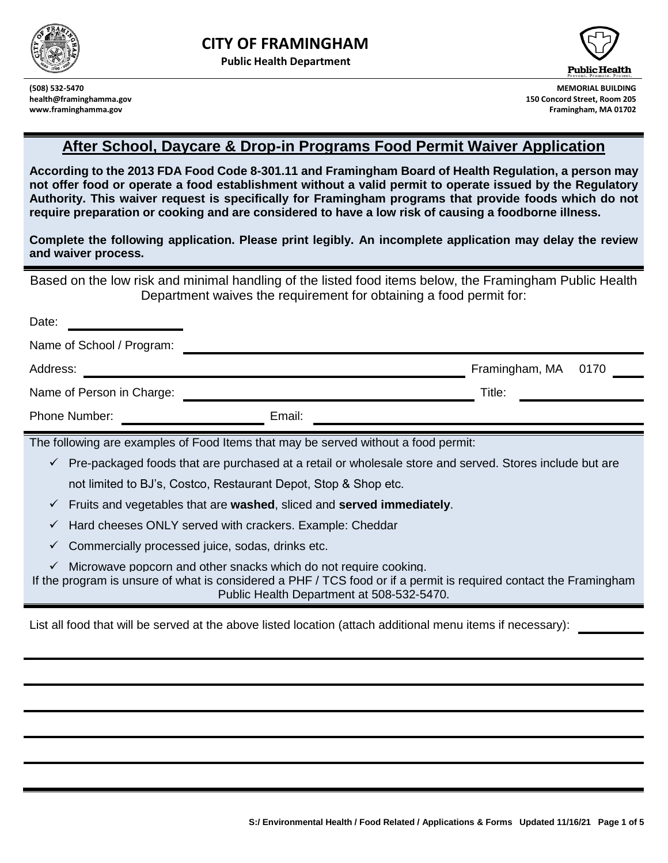

**Public Health Department**





**(508) 532-5470 MEMORIAL BUILDING health@framinghamma.gov 150 Concord Street, Room 205 www.framinghamma.gov Framingham, MA 01702**

# **After School, Daycare & Drop-in Programs Food Permit Waiver Application**

**According to the 2013 FDA Food Code 8-301.11 and Framingham Board of Health Regulation, a person may not offer food or operate a food establishment without a valid permit to operate issued by the Regulatory Authority. This waiver request is specifically for Framingham programs that provide foods which do not require preparation or cooking and are considered to have a low risk of causing a foodborne illness.**

**Complete the following application. Please print legibly. An incomplete application may delay the review and waiver process.** 

Based on the low risk and minimal handling of the listed food items below, the Framingham Public Health Department waives the requirement for obtaining a food permit for:

| Date:                                                                                                                                                                                                                                                                                                                                                                                                                                                                                                        |                                                                                                               |                                                                                                                   |  |  |  |  |
|--------------------------------------------------------------------------------------------------------------------------------------------------------------------------------------------------------------------------------------------------------------------------------------------------------------------------------------------------------------------------------------------------------------------------------------------------------------------------------------------------------------|---------------------------------------------------------------------------------------------------------------|-------------------------------------------------------------------------------------------------------------------|--|--|--|--|
| Name of School / Program:                                                                                                                                                                                                                                                                                                                                                                                                                                                                                    |                                                                                                               |                                                                                                                   |  |  |  |  |
| Address:                                                                                                                                                                                                                                                                                                                                                                                                                                                                                                     |                                                                                                               | Framingham, MA<br>0170                                                                                            |  |  |  |  |
| Name of Person in Charge:                                                                                                                                                                                                                                                                                                                                                                                                                                                                                    |                                                                                                               | Title:                                                                                                            |  |  |  |  |
| <b>Phone Number:</b>                                                                                                                                                                                                                                                                                                                                                                                                                                                                                         | Email:                                                                                                        |                                                                                                                   |  |  |  |  |
| The following are examples of Food Items that may be served without a food permit:<br>Pre-packaged foods that are purchased at a retail or wholesale store and served. Stores include but are<br>$\checkmark$<br>not limited to BJ's, Costco, Restaurant Depot, Stop & Shop etc.<br>$\checkmark$ Fruits and vegetables that are washed, sliced and served immediately.<br>Hard cheeses ONLY served with crackers. Example: Cheddar<br>$\checkmark$<br>Commercially processed juice, sodas, drinks etc.<br>v. |                                                                                                               |                                                                                                                   |  |  |  |  |
|                                                                                                                                                                                                                                                                                                                                                                                                                                                                                                              | Microwave popcorn and other snacks which do not require cooking.<br>Public Health Department at 508-532-5470. | If the program is unsure of what is considered a PHF / TCS food or if a permit is required contact the Framingham |  |  |  |  |

List all food that will be served at the above listed location (attach additional menu items if necessary):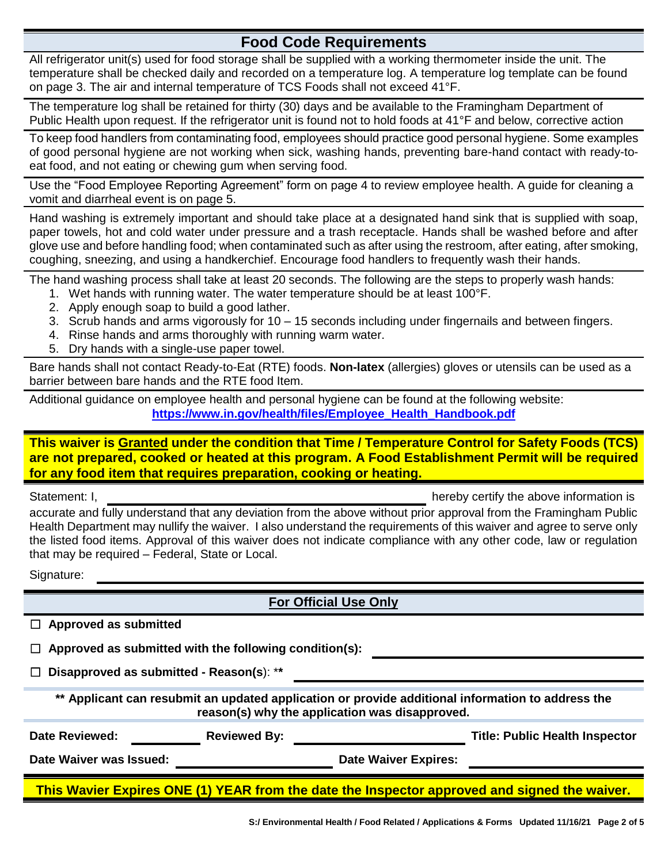## **Food Code Requirements**

All refrigerator unit(s) used for food storage shall be supplied with a working thermometer inside the unit. The temperature shall be checked daily and recorded on a temperature log. A temperature log template can be found on page 3. The air and internal temperature of TCS Foods shall not exceed 41°F.

The temperature log shall be retained for thirty (30) days and be available to the Framingham Department of Public Health upon request. If the refrigerator unit is found not to hold foods at 41°F and below, corrective action

To keep food handlers from contaminating food, employees should practice good personal hygiene. Some examples of good personal hygiene are not working when sick, washing hands, preventing bare-hand contact with ready-toeat food, and not eating or chewing gum when serving food.

Use the "Food Employee Reporting Agreement" form on page 4 to review employee health. A guide for cleaning a vomit and diarrheal event is on page 5.

Hand washing is extremely important and should take place at a designated hand sink that is supplied with soap, paper towels, hot and cold water under pressure and a trash receptacle. Hands shall be washed before and after glove use and before handling food; when contaminated such as after using the restroom, after eating, after smoking, coughing, sneezing, and using a handkerchief. Encourage food handlers to frequently wash their hands.

The hand washing process shall take at least 20 seconds. The following are the steps to properly wash hands:

- 1. Wet hands with running water. The water temperature should be at least 100°F.
- 2. Apply enough soap to build a good lather.
- 3. Scrub hands and arms vigorously for 10 15 seconds including under fingernails and between fingers.
- 4. Rinse hands and arms thoroughly with running warm water.
- 5. Dry hands with a single-use paper towel.

Bare hands shall not contact Ready-to-Eat (RTE) foods. **Non-latex** (allergies) gloves or utensils can be used as a barrier between bare hands and the RTE food Item.

Additional guidance on employee health and personal hygiene can be found at the following website: **[https://www.in.gov/health/files/Employee\\_Health\\_Handbook.pdf](https://www.in.gov/health/files/Employee_Health_Handbook.pdf)**

**This waiver is Granted under the condition that Time / Temperature Control for Safety Foods (TCS) are not prepared, cooked or heated at this program. A Food Establishment Permit will be required for any food item that requires preparation, cooking or heating.**

Statement: I, hereby certify the above information is

accurate and fully understand that any deviation from the above without prior approval from the Framingham Public Health Department may nullify the waiver. I also understand the requirements of this waiver and agree to serve only the listed food items. Approval of this waiver does not indicate compliance with any other code, law or regulation that may be required – Federal, State or Local.

Signature:

**For Official Use Only**

☐ **Approved as submitted with the following condition(s):**

☐ **Disapproved as submitted - Reason(s**): \***\***

**\*\* Applicant can resubmit an updated application or provide additional information to address the reason(s) why the application was disapproved.**

**Date Reviewed: Reviewed By: Title: Public Health Inspector**

Date Waiver was Issued: **Date Waiver Expires:** 

**This Wavier Expires ONE (1) YEAR from the date the Inspector approved and signed the waiver.**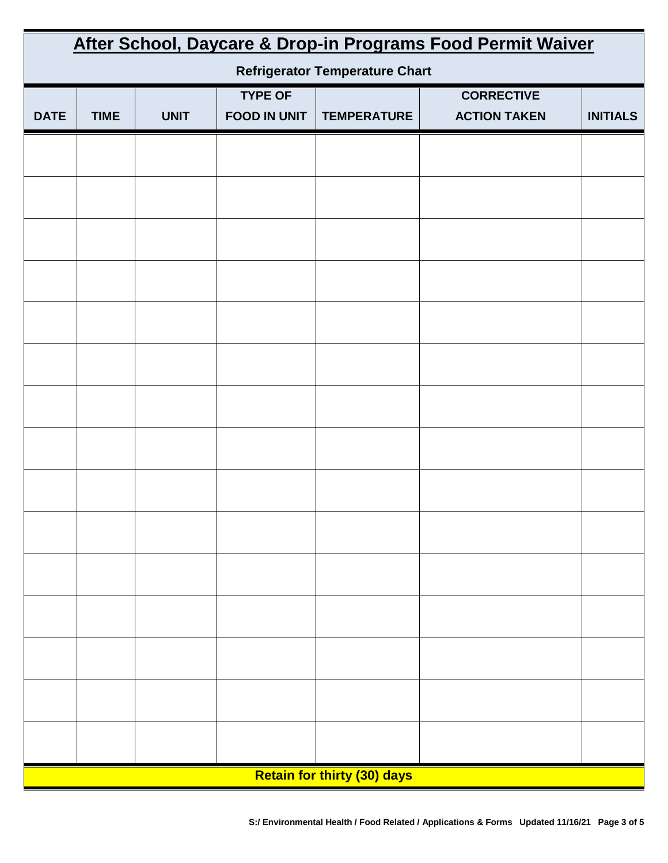| After School, Daycare & Drop-in Programs Food Permit Waiver |             |             |                                       |                    |                                          |                 |  |  |
|-------------------------------------------------------------|-------------|-------------|---------------------------------------|--------------------|------------------------------------------|-----------------|--|--|
| <b>Refrigerator Temperature Chart</b>                       |             |             |                                       |                    |                                          |                 |  |  |
| <b>DATE</b>                                                 | <b>TIME</b> | <b>UNIT</b> | <b>TYPE OF</b><br><b>FOOD IN UNIT</b> | <b>TEMPERATURE</b> | <b>CORRECTIVE</b><br><b>ACTION TAKEN</b> | <b>INITIALS</b> |  |  |
|                                                             |             |             |                                       |                    |                                          |                 |  |  |
|                                                             |             |             |                                       |                    |                                          |                 |  |  |
|                                                             |             |             |                                       |                    |                                          |                 |  |  |
|                                                             |             |             |                                       |                    |                                          |                 |  |  |
|                                                             |             |             |                                       |                    |                                          |                 |  |  |
|                                                             |             |             |                                       |                    |                                          |                 |  |  |
|                                                             |             |             |                                       |                    |                                          |                 |  |  |
|                                                             |             |             |                                       |                    |                                          |                 |  |  |
|                                                             |             |             |                                       |                    |                                          |                 |  |  |
|                                                             |             |             |                                       |                    |                                          |                 |  |  |
|                                                             |             |             |                                       |                    |                                          |                 |  |  |
|                                                             |             |             |                                       |                    |                                          |                 |  |  |
|                                                             |             |             |                                       |                    |                                          |                 |  |  |
|                                                             |             |             |                                       |                    |                                          |                 |  |  |
|                                                             |             |             |                                       |                    |                                          |                 |  |  |
|                                                             |             |             |                                       |                    |                                          |                 |  |  |
|                                                             |             |             |                                       |                    |                                          |                 |  |  |
|                                                             |             |             |                                       |                    |                                          |                 |  |  |
| <b>Retain for thirty (30) days</b>                          |             |             |                                       |                    |                                          |                 |  |  |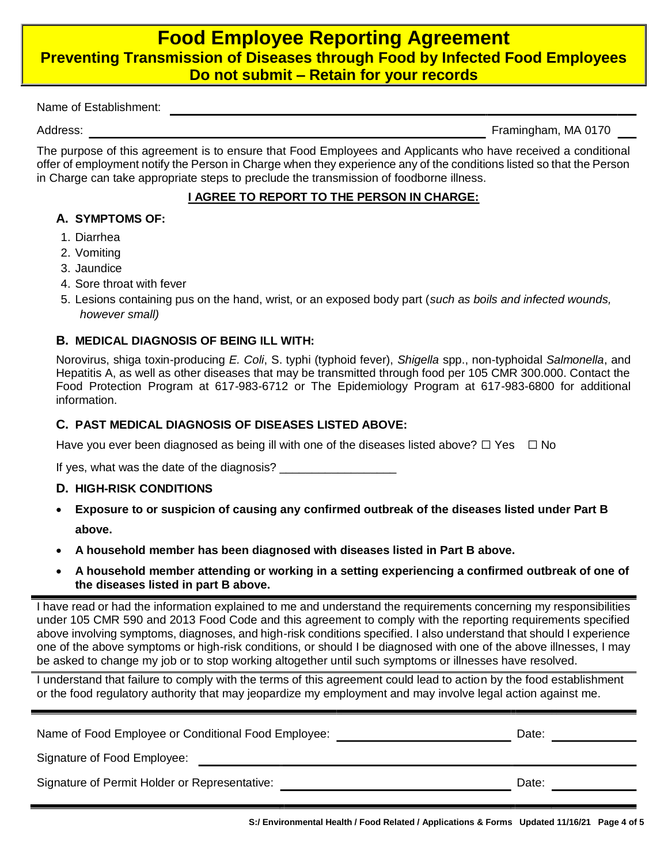## **Food Employee Reporting Agreement Preventing Transmission of Diseases through Food by Infected Food Employees Do not submit – Retain for your records**

Name of Establishment:

Address: Framingham, MA 0170

The purpose of this agreement is to ensure that Food Employees and Applicants who have received a conditional offer of employment notify the Person in Charge when they experience any of the conditions listed so that the Person in Charge can take appropriate steps to preclude the transmission of foodborne illness.

#### **I AGREE TO REPORT TO THE PERSON IN CHARGE:**

#### **A. SYMPTOMS OF:**

- 1. Diarrhea
- 2. Vomiting
- 3. Jaundice
- 4. Sore throat with fever
- 5. Lesions containing pus on the hand, wrist, or an exposed body part (*such as boils and infected wounds, however small)*

#### **B. MEDICAL DIAGNOSIS OF BEING ILL WITH:**

Norovirus, shiga toxin-producing *E. Coli*, S. typhi (typhoid fever), *Shigella* spp., non-typhoidal *Salmonella*, and Hepatitis A, as well as other diseases that may be transmitted through food per 105 CMR 300.000. Contact the Food Protection Program at 617-983-6712 or The Epidemiology Program at 617-983-6800 for additional information.

#### **C. PAST MEDICAL DIAGNOSIS OF DISEASES LISTED ABOVE:**

Have you ever been diagnosed as being ill with one of the diseases listed above?  $\Box$  Yes  $\Box$  No

If yes, what was the date of the diagnosis? \_\_\_\_\_\_\_\_\_\_

#### **D. HIGH-RISK CONDITIONS**

- • **Exposure to or suspicion of causing any confirmed outbreak of the diseases listed under Part B above.**
- •**A household member has been diagnosed with diseases listed in Part B above.**
- • **A household member attending or working in a setting experiencing a confirmed outbreak of one of the diseases listed in part B above.**

I have read or had the information explained to me and understand the requirements concerning my responsibilities under 105 CMR 590 and 2013 Food Code and this agreement to comply with the reporting requirements specified above involving symptoms, diagnoses, and high-risk conditions specified. I also understand that should I experience one of the above symptoms or high-risk conditions, or should I be diagnosed with one of the above illnesses, I may be asked to change my job or to stop working altogether until such symptoms or illnesses have resolved.

I understand that failure to comply with the terms of this agreement could lead to action by the food establishment or the food regulatory authority that may jeopardize my employment and may involve legal action against me.

| Name of Food Employee or Conditional Food Employee: | Date: |
|-----------------------------------------------------|-------|
| Signature of Food Employee:                         |       |
| Signature of Permit Holder or Representative:       | Date: |